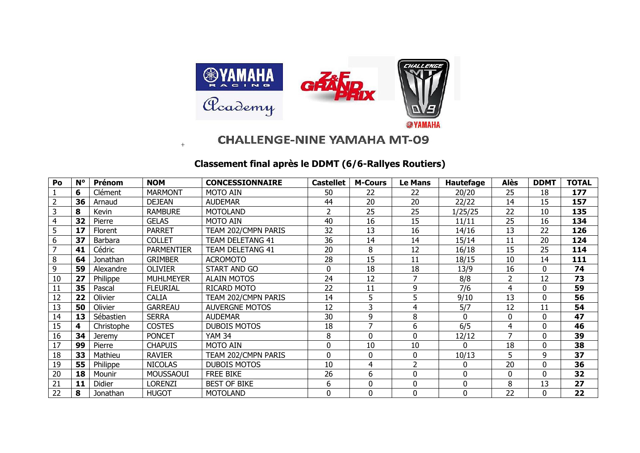

## **CHALLENGE-NINE YAMAHA MT-09**

## **Classement final après le DDMT (6/6-Rallyes Routiers)**

+

| Po             | $N^{\circ}$ | <b>Prénom</b> | <b>NOM</b>        | <b>CONCESSIONNAIRE</b> | <b>Castellet</b> | <b>M-Cours</b> | <b>Le Mans</b> | <b>Hautefage</b> | Alès           | <b>DDMT</b> | <b>TOTAL</b> |
|----------------|-------------|---------------|-------------------|------------------------|------------------|----------------|----------------|------------------|----------------|-------------|--------------|
| $\mathbf{1}$   | 6           | Clément       | <b>MARMONT</b>    | <b>MOTO AIN</b>        | 50               | 22             | 22             | 20/20            | 25             | 18          | 177          |
| $\overline{2}$ | 36          | Arnaud        | <b>DEJEAN</b>     | <b>AUDEMAR</b>         | 44               | 20             | 20             | 22/22            | 14             | 15          | 157          |
| 3              | 8           | Kevin         | <b>RAMBURE</b>    | <b>MOTOLAND</b>        | 2                | 25             | 25             | 1/25/25          | 22             | 10          | 135          |
| $\overline{4}$ | 32          | Pierre        | <b>GELAS</b>      | <b>MOTO AIN</b>        | 40               | 16             | 15             | 11/11            | 25             | 16          | 134          |
| 5              | 17          | Florent       | <b>PARRET</b>     | TEAM 202/CMPN PARIS    | 32               | 13             | 16             | 14/16            | 13             | 22          | 126          |
| 6              | 37          | Barbara       | <b>COLLET</b>     | TEAM DELETANG 41       | 36               | 14             | 14             | 15/14            | 11             | 20          | 124          |
| $\overline{7}$ | 41          | Cédric        | <b>PARMENTIER</b> | TEAM DELETANG 41       | 20               | 8              | 12             | 16/18            | 15             | 25          | 114          |
| 8              | 64          | Jonathan      | <b>GRIMBER</b>    | <b>ACROMOTO</b>        | 28               | 15             | 11             | 18/15            | 10             | 14          | 111          |
| 9              | 59          | Alexandre     | <b>OLIVIER</b>    | START AND GO           | 0                | 18             | 18             | 13/9             | 16             | 0           | 74           |
| 10             | 27          | Philippe      | <b>MUHLMEYER</b>  | <b>ALAIN MOTOS</b>     | 24               | 12             |                | 8/8              | $\overline{2}$ | 12          | 73           |
| 11             | 35          | Pascal        | <b>FLEURIAL</b>   | RICARD MOTO            | 22               | 11             | 9              | 7/6              | 4              | $\Omega$    | 59           |
| 12             | 22          | Olivier       | <b>CALIA</b>      | TEAM 202/CMPN PARIS    | 14               | 5              | 5              | 9/10             | 13             | $\Omega$    | 56           |
| 13             | 50          | Olivier       | <b>GARREAU</b>    | <b>AUVERGNE MOTOS</b>  | 12               | 3              | 4              | 5/7              | 12             | 11          | 54           |
| 14             | 13          | Sébastien     | <b>SERRA</b>      | <b>AUDEMAR</b>         | 30               | 9              | 8              | $\Omega$         | $\Omega$       | 0           | 47           |
| 15             | 4           | Christophe    | <b>COSTES</b>     | <b>DUBOIS MOTOS</b>    | 18               |                | 6              | 6/5              | 4              | $\Omega$    | 46           |
| 16             | 34          | <b>Jeremy</b> | <b>PONCET</b>     | <b>YAM 34</b>          | 8                | $\Omega$       | $\Omega$       | 12/12            |                | 0           | 39           |
| 17             | 99          | Pierre        | <b>CHAPUIS</b>    | <b>MOTO AIN</b>        | 0                | 10             | 10             | O                | 18             | $\Omega$    | 38           |
| 18             | 33          | Mathieu       | <b>RAVIER</b>     | TEAM 202/CMPN PARIS    | 0                | 0              | $\Omega$       | 10/13            | 5              | 9           | 37           |
| 19             | 55          | Philippe      | <b>NICOLAS</b>    | <b>DUBOIS MOTOS</b>    | 10               | 4              | 2              | O                | 20             | $\Omega$    | 36           |
| 20             | 18          | Mounir        | <b>MOUSSAOUI</b>  | <b>FREE BIKE</b>       | 26               | 6              | 0              | $\Omega$         | $\mathbf 0$    | $\Omega$    | 32           |
| 21             | 11          | <b>Didier</b> | Lorenzi           | <b>BEST OF BIKE</b>    | 6                | $\mathbf{0}$   | $\mathbf{0}$   | $\Omega$         | 8              | 13          | 27           |
| 22             | 8           | Jonathan      | <b>HUGOT</b>      | <b>MOTOLAND</b>        | 0                | $\mathbf 0$    | 0              | $\Omega$         | 22             | 0           | 22           |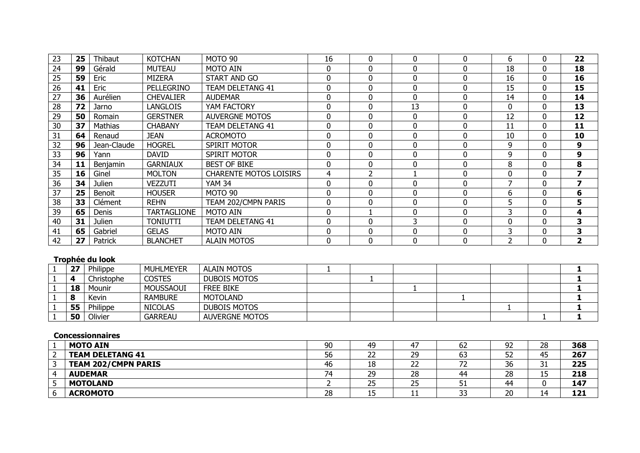| 23 | 25 | Thibaut       | <b>KOTCHAN</b>     | MOTO 90                       | 16 | 0                        | 0        | 0        | 6        | 0        | 22               |
|----|----|---------------|--------------------|-------------------------------|----|--------------------------|----------|----------|----------|----------|------------------|
| 24 | 99 | Gérald        | <b>MUTEAU</b>      | <b>MOTO AIN</b>               | 0  | $\Omega$                 | $\Omega$ | 0        | 18       | 0        | 18               |
| 25 | 59 | Eric          | MIZERA             | START AND GO                  | 0  | 0                        | 0        | 0        | 16       | 0        | 16               |
| 26 | 41 | Eric          | PELLEGRINO         | <b>TEAM DELETANG 41</b>       | 0  | $\Omega$                 | $\Omega$ | $\Omega$ | 15       | 0        | 15               |
| 27 | 36 | Aurélien      | <b>CHEVALIER</b>   | <b>AUDEMAR</b>                | 0  | 0                        | 0        | 0        | 14       | $\Omega$ | 14               |
| 28 | 72 | Jarno         | LANGLOIS           | YAM FACTORY                   | 0  | $\Omega$                 | 13       | $\Omega$ | $\Omega$ | $\Omega$ | 13               |
| 29 | 50 | Romain        | <b>GERSTNER</b>    | <b>AUVERGNE MOTOS</b>         | 0  | $\Omega$                 | $\Omega$ | $\Omega$ | 12       | $\Omega$ | 12               |
| 30 | 37 | Mathias       | <b>CHABANY</b>     | <b>TEAM DELETANG 41</b>       | 0  | 0                        | $\Omega$ | $\Omega$ | 11       | 0        | 11               |
| 31 | 64 | Renaud        | <b>JEAN</b>        | <b>ACROMOTO</b>               | 0  | $\Omega$                 | 0        | 0        | 10       | 0        | 10               |
| 32 | 96 | Jean-Claude   | <b>HOGREL</b>      | <b>SPIRIT MOTOR</b>           | 0  | 0                        | 0        | 0        | 9        |          | $\boldsymbol{9}$ |
| 33 | 96 | Yann          | <b>DAVID</b>       | <b>SPIRIT MOTOR</b>           | 0  | $\Omega$                 | $\Omega$ | $\Omega$ | 9        | $\Omega$ | 9                |
| 34 | 11 | Benjamin      | <b>GARNIAUX</b>    | <b>BEST OF BIKE</b>           | 0  | $\Omega$                 | 0        | 0        | 8        | 0        | 8                |
| 35 | 16 | Ginel         | <b>MOLTON</b>      | <b>CHARENTE MOTOS LOISIRS</b> | 4  | $\overline{\phantom{a}}$ |          | 0        | $\Omega$ | 0        | 7                |
| 36 | 34 | Julien        | VEZZUTI            | <b>YAM 34</b>                 | 0  | $\Omega$                 | $\Omega$ | 0        |          | O        | 7                |
| 37 | 25 | Benoit        | <b>HOUSER</b>      | MOTO 90                       | 0  | $\Omega$                 | $\Omega$ | $\Omega$ | 6        | $\Omega$ | 6                |
| 38 | 33 | Clément       | <b>REHN</b>        | TEAM 202/CMPN PARIS           | 0  | $\Omega$                 | $\Omega$ | 0        | 5        | 0        | 5                |
| 39 | 65 | Denis         | <b>TARTAGLIONE</b> | <b>MOTO AIN</b>               | 0  |                          | 0        | 0        | 3        | 0        | 4                |
| 40 | 31 | <b>Julien</b> | <b>TONIUTTI</b>    | TEAM DELETANG 41              | 0  | $\Omega$                 | 3        | $\Omega$ | $\Omega$ | 0        | 3                |
| 41 | 65 | Gabriel       | <b>GELAS</b>       | <b>MOTO AIN</b>               | 0  | $\Omega$                 | $\Omega$ | $\Omega$ | 3        | 0        | 3                |
| 42 | 27 | Patrick       | <b>BLANCHET</b>    | <b>ALAIN MOTOS</b>            | 0  | 0                        | 0        | 0        | ר        | $\Omega$ | 2                |

## **Trophée du look**

| っっ | Philippe   | <b>MUHLMEYER</b> | <b>ALAIN MOTOS</b>    |  |  |  |  |
|----|------------|------------------|-----------------------|--|--|--|--|
|    | Christophe | <b>COSTES</b>    | DUBOIS MOTOS          |  |  |  |  |
| 18 | Mounir     | MOUSSAOUI        | <b>FREE BIKE</b>      |  |  |  |  |
|    | Kevin      | <b>RAMBURE</b>   | <b>MOTOLAND</b>       |  |  |  |  |
| 55 | Philippe   | <b>NICOLAS</b>   | DUBOIS MOTOS          |  |  |  |  |
| 50 | Olivier    | <b>GARREAU</b>   | <b>AUVERGNE MOTOS</b> |  |  |  |  |

## **Concessionnaires**

|                | <b>MOTO AIN</b>            | 90 | 49       | 47 | 62 | 92 | 28       | 368 |
|----------------|----------------------------|----|----------|----|----|----|----------|-----|
| 2              | <b>TEAM DELETANG 41</b>    | 56 | ~~<br>∠∠ | 29 | 63 | 52 | 45<br>τJ | 267 |
| 3              | <b>TEAM 202/CMPN PARIS</b> | 46 | 18       | 22 | 72 | 36 | 21<br>⊥ر | 225 |
| $\overline{4}$ | <b>AUDEMAR</b>             | 74 | 29       | 28 | 44 | 28 | ᅩ        | 218 |
| כ              | <b>MOTOLAND</b>            |    | つに<br>رے | 25 | 51 | 44 |          | 147 |
| -6             | <b>ACROMOTO</b>            | 28 | 1 C<br>∸ | ᆠ  | 33 | 20 | 14       | 121 |